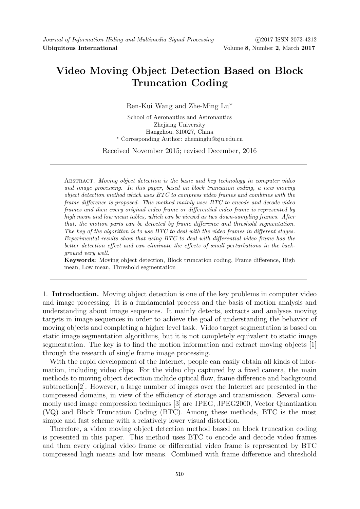## Video Moving Object Detection Based on Block Truncation Coding

Ren-Kui Wang and Zhe-Ming Lu\*

School of Aeronautics and Astronautics Zheiiang University Hangzhou, 310027, China <sup>∗</sup> Corresponding Author: zheminglu@zju.edu.cn

Received November 2015; revised December, 2016

ABSTRACT. Moving object detection is the basic and key technology in computer video and image processing. In this paper, based on block truncation coding, a new moving object detection method which uses BTC to compress video frames and combines with the frame difference is proposed. This method mainly uses BTC to encode and decode video frames and then every original video frame or differential video frame is represented by high mean and low mean tables, which can be viewed as two down-sampling frames. After that, the motion parts can be detected by frame difference and threshold segmentation. The key of the algorithm is to use  $BTC$  to deal with the video frames in different stages. Experimental results show that using BTC to deal with differential video frame has the better detection effect and can eliminate the effects of small perturbations in the background very well.

Keywords: Moving object detection, Block truncation coding, Frame difference, High mean, Low mean, Threshold segmentation

1. Introduction. Moving object detection is one of the key problems in computer video and image processing. It is a fundamental process and the basis of motion analysis and understanding about image sequences. It mainly detects, extracts and analyses moving targets in image sequences in order to achieve the goal of understanding the behavior of moving objects and completing a higher level task. Video target segmentation is based on static image segmentation algorithms, but it is not completely equivalent to static image segmentation. The key is to find the motion information and extract moving objects [1] through the research of single frame image processing.

With the rapid development of the Internet, people can easily obtain all kinds of information, including video clips. For the video clip captured by a fixed camera, the main methods to moving object detection include optical flow, frame difference and background subtraction[2]. However, a large number of images over the Internet are presented in the compressed domains, in view of the efficiency of storage and transmission. Several commonly used image compression techniques [3] are JPEG, JPEG2000, Vector Quantization (VQ) and Block Truncation Coding (BTC). Among these methods, BTC is the most simple and fast scheme with a relatively lower visual distortion.

Therefore, a video moving object detection method based on block truncation coding is presented in this paper. This method uses BTC to encode and decode video frames and then every original video frame or differential video frame is represented by BTC compressed high means and low means. Combined with frame difference and threshold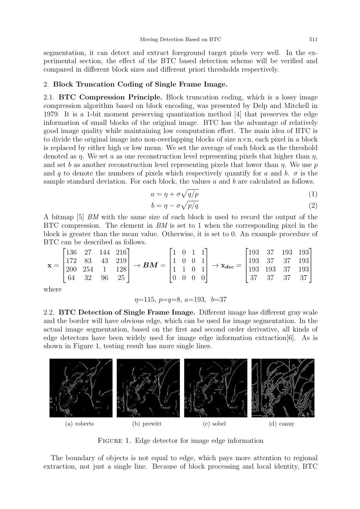segmentation, it can detect and extract foreground target pixels very well. In the experimental section, the effect of the BTC based detection scheme will be verified and compared in different block sizes and different priori thresholds respectively.

## 2. Block Truncation Coding of Single Frame Image.

2.1. BTC Compression Principle. Block truncation coding, which is a lossy image compression algorithm based on block encoding, was presented by Delp and Mitchell in 1979. It is a 1-bit moment preserving quantization method [4] that preserves the edge information of small blocks of the original image. BTC has the advantage of relatively good image quality while maintaining low computation effort. The main idea of BTC is to divide the original image into non-overlapping blocks of size  $n \times n$ , each pixel in a block is replaced by either high or low mean. We set the average of each block as the threshold denoted as  $\eta$ . We set a as one reconstruction level representing pixels that higher than  $\eta$ , and set b as another reconstruction level representing pixels that lower than  $\eta$ . We use p and q to denote the numbers of pixels which respectively quantify for a and b.  $\sigma$  is the sample standard deviation. For each block, the values  $a$  and  $b$  are calculated as follows.

$$
a = \eta + \sigma \sqrt{q/p} \tag{1}
$$

$$
b = \eta - \sigma \sqrt{p/q} \tag{2}
$$

A bitmap [5] BM with the same size of each block is used to record the output of the BTC compression. The element in  $BM$  is set to 1 when the corresponding pixel in the block is greater than the mean value. Otherwise, it is set to 0. An example procedure of BTC can be described as follows.

$$
\mathbf{x} = \begin{bmatrix} 136 & 27 & 144 & 216 \\ 172 & 83 & 43 & 219 \\ 200 & 254 & 1 & 128 \\ 64 & 32 & 96 & 25 \end{bmatrix} \rightarrow \boldsymbol{BM} = \begin{bmatrix} 1 & 0 & 1 & 1 \\ 1 & 0 & 0 & 1 \\ 1 & 1 & 0 & 1 \\ 0 & 0 & 0 & 0 \end{bmatrix} \rightarrow \mathbf{x}_{dec} = \begin{bmatrix} 193 & 37 & 193 & 193 \\ 193 & 37 & 37 & 193 \\ 193 & 193 & 37 & 193 \\ 37 & 37 & 37 & 37 \end{bmatrix}
$$

where

$$
\eta
$$
=115,  $p=q=8$ ,  $a=193$ ,  $b=37$ 

2.2. BTC Detection of Single Frame Image. Different image has different gray scale and the border will have obvious edge, which can be used for image segmentation. In the actual image segmentation, based on the first and second order derivative, all kinds of edge detectors have been widely used for image edge information extraction[6]. As is shown in Figure 1, testing result has more single lines.



FIGURE 1. Edge detector for image edge information

The boundary of objects is not equal to edge, which pays more attention to regional extraction, not just a single line. Because of block processing and local identity, BTC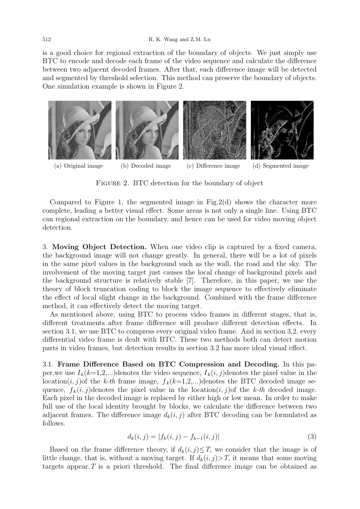is a good choice for regional extraction of the boundary of objects. We just simply use BTC to encode and decode each frame of the video sequence and calculate the difference between two adjacent decoded frames. After that, each difference image will be detected and segmented by threshold selection. This method can preserve the boundary of objects. One simulation example is shown in Figure 2.



FIGURE 2. BTC detection for the boundary of object

Compared to Figure 1, the segmented image in Fig.2(d) shows the character more complete, leading a better visual effect. Some areas is not only a single line. Using BTC can regional extraction on the boundary, and hence can be used for video moving object detection.

3. Moving Object Detection. When one video clip is captured by a fixed camera, the background image will not change greatly. In general, there will be a lot of pixels in the same pixel values in the background such as the wall, the road and the sky. The involvement of the moving target just causes the local change of background pixels and the background structure is relatively stable [7]. Therefore, in this paper, we use the theory of block truncation coding to block the image sequence to effectively eliminate the effect of local slight change in the background. Combined with the frame difference method, it can effectively detect the moving target.

As mentioned above, using BTC to process video frames in different stages, that is, different treatments after frame difference will produce different detection effects. In section 3.1, we use BTC to compress every original video frame. And in section 3.2, every differential video frame is dealt with BTC. These two methods both can detect motion parts in video frames, but detection results in section 3.2 has more ideal visual effect.

3.1. Frame Difference Based on BTC Compression and Decoding. In this paper, we use  $I_k(k=1,2,...)$  denotes the video sequence,  $I_k(i,j)$  denotes the pixel value in the location(*i, j*)of the k-th frame image,  $f_k(k=1,2,...)$  denotes the BTC decoded image sequence,  $f_k(i, j)$ denotes the pixel value in the location $(i, j)$ of the k-th decoded image. Each pixel in the decoded image is replaced by either high or low mean. In order to make full use of the local identity brought by blocks, we calculate the difference between two adjacent frames. The difference image  $d_k(i, j)$  after BTC decoding can be formulated as follows.

$$
d_k(i,j) = |f_k(i,j) - f_{k-1}(i,j)|
$$
\n(3)

Based on the frame difference theory, if  $d_k(i, j) \leq T$ , we consider that the image is of little change, that is, without a moving target. If  $d_k(i, j) > T$ , it means that some moving targets appear.  $T$  is a priori threshold. The final difference image can be obtained as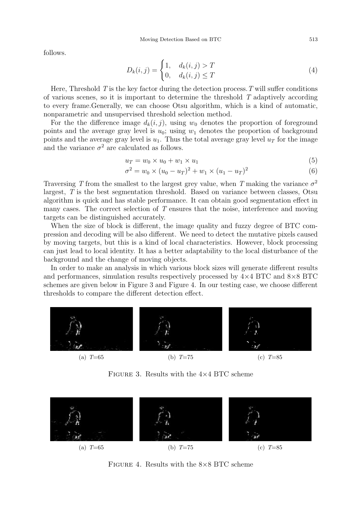follows.

$$
D_k(i,j) = \begin{cases} 1, & d_k(i,j) > T \\ 0, & d_k(i,j) \le T \end{cases}
$$
\n
$$
(4)
$$

Here, Threshold  $T$  is the key factor during the detection process.  $T$  will suffer conditions of various scenes, so it is important to determine the threshold T adaptively according to every frame.Generally, we can choose Otsu algorithm, which is a kind of automatic, nonparametric and unsupervised threshold selection method.

For the the difference image  $d_k(i, j)$ , using  $w_0$  denotes the proportion of foreground points and the average gray level is  $u_0$ ; using  $w_1$  denotes the proportion of background points and the average gray level is  $u_1$ . Thus the total average gray level  $u_T$  for the image and the variance  $\sigma^2$  are calculated as follows.

$$
u_T = w_0 \times u_0 + w_1 \times u_1 \tag{5}
$$

$$
\sigma^2 = w_0 \times (u_0 - u_T)^2 + w_1 \times (u_1 - u_T)^2 \tag{6}
$$

Traversing T from the smallest to the largest grey value, when T making the variance  $\sigma^2$ largest, T is the best segmentation threshold. Based on variance between classes, Otsu algorithm is quick and has stable performance. It can obtain good segmentation effect in many cases. The correct selection of T ensures that the noise, interference and moving targets can be distinguished accurately.

When the size of block is different, the image quality and fuzzy degree of BTC compression and decoding will be also different. We need to detect the mutative pixels caused by moving targets, but this is a kind of local characteristics. However, block processing can just lead to local identity. It has a better adaptability to the local disturbance of the background and the change of moving objects.

In order to make an analysis in which various block sizes will generate different results and performances, simulation results respectively processed by  $4\times4$  BTC and  $8\times8$  BTC schemes are given below in Figure 3 and Figure 4. In our testing case, we choose different thresholds to compare the different detection effect.



FIGURE 3. Results with the  $4\times4$  BTC scheme



FIGURE 4. Results with the  $8\times 8$  BTC scheme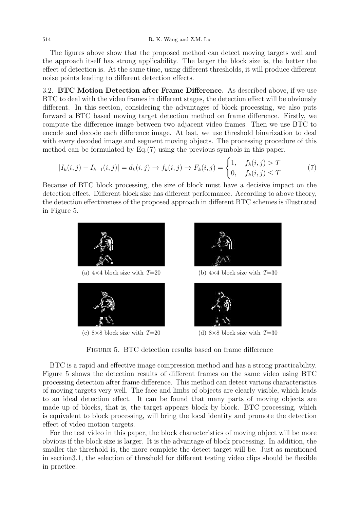The figures above show that the proposed method can detect moving targets well and the approach itself has strong applicability. The larger the block size is, the better the effect of detection is. At the same time, using different thresholds, it will produce different noise points leading to different detection effects.

3.2. BTC Motion Detection after Frame Difference. As described above, if we use BTC to deal with the video frames in different stages, the detection effect will be obviously different. In this section, considering the advantages of block processing, we also puts forward a BTC based moving target detection method on frame difference. Firstly, we compute the difference image between two adjacent video frames. Then we use BTC to encode and decode each difference image. At last, we use threshold binarization to deal with every decoded image and segment moving objects. The processing procedure of this method can be formulated by Eq.(7) using the previous symbols in this paper.

$$
|I_k(i,j) - I_{k-1}(i,j)| = d_k(i,j) \to f_k(i,j) \to F_k(i,j) = \begin{cases} 1, & f_k(i,j) > T \\ 0, & f_k(i,j) \le T \end{cases}
$$
(7)

Because of BTC block processing, the size of block must have a decisive impact on the detection effect. Different block size has different performance. According to above theory, the detection effectiveness of the proposed approach in different BTC schemes is illustrated in Figure 5.



FIGURE 5. BTC detection results based on frame difference

BTC is a rapid and effective image compression method and has a strong practicability. Figure 5 shows the detection results of different frames on the same video using BTC processing detection after frame difference. This method can detect various characteristics of moving targets very well. The face and limbs of objects are clearly visible, which leads to an ideal detection effect. It can be found that many parts of moving objects are made up of blocks, that is, the target appears block by block. BTC processing, which is equivalent to block processing, will bring the local identity and promote the detection effect of video motion targets.

For the test video in this paper, the block characteristics of moving object will be more obvious if the block size is larger. It is the advantage of block processing. In addition, the smaller the threshold is, the more complete the detect target will be. Just as mentioned in section3.1, the selection of threshold for different testing video clips should be flexible in practice.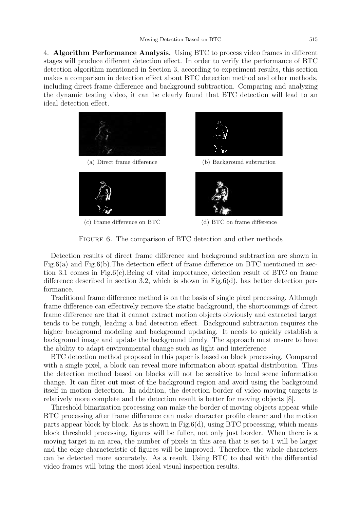4. Algorithm Performance Analysis. Using BTC to process video frames in different stages will produce different detection effect. In order to verify the performance of BTC detection algorithm mentioned in Section 3, according to experiment results, this section makes a comparison in detection effect about BTC detection method and other methods, including direct frame difference and background subtraction. Comparing and analyzing the dynamic testing video, it can be clearly found that BTC detection will lead to an ideal detection effect.



FIGURE 6. The comparison of BTC detection and other methods

Detection results of direct frame difference and background subtraction are shown in Fig.6(a) and Fig.6(b). The detection effect of frame difference on BTC mentioned in section 3.1 comes in Fig.6(c).Being of vital importance, detection result of BTC on frame difference described in section 3.2, which is shown in Fig.6(d), has better detection performance.

Traditional frame difference method is on the basis of single pixel processing, Although frame difference can effectively remove the static background, the shortcomings of direct frame difference are that it cannot extract motion objects obviously and extracted target tends to be rough, leading a bad detection effect. Background subtraction requires the higher background modeling and background updating. It needs to quickly establish a background image and update the background timely. The approach must ensure to have the ability to adapt environmental change such as light and interference

BTC detection method proposed in this paper is based on block processing. Compared with a single pixel, a block can reveal more information about spatial distribution. Thus the detection method based on blocks will not be sensitive to local scene information change. It can filter out most of the background region and avoid using the background itself in motion detection. In addition, the detection border of video moving targets is relatively more complete and the detection result is better for moving objects [8].

Threshold binarization processing can make the border of moving objects appear while BTC processing after frame difference can make character profile clearer and the motion parts appear block by block. As is shown in Fig.6(d), using BTC processing, which means block threshold processing, figures will be fuller, not only just border. When there is a moving target in an area, the number of pixels in this area that is set to 1 will be larger and the edge characteristic of figures will be improved. Therefore, the whole characters can be detected more accurately. As a result, Using BTC to deal with the differential video frames will bring the most ideal visual inspection results.